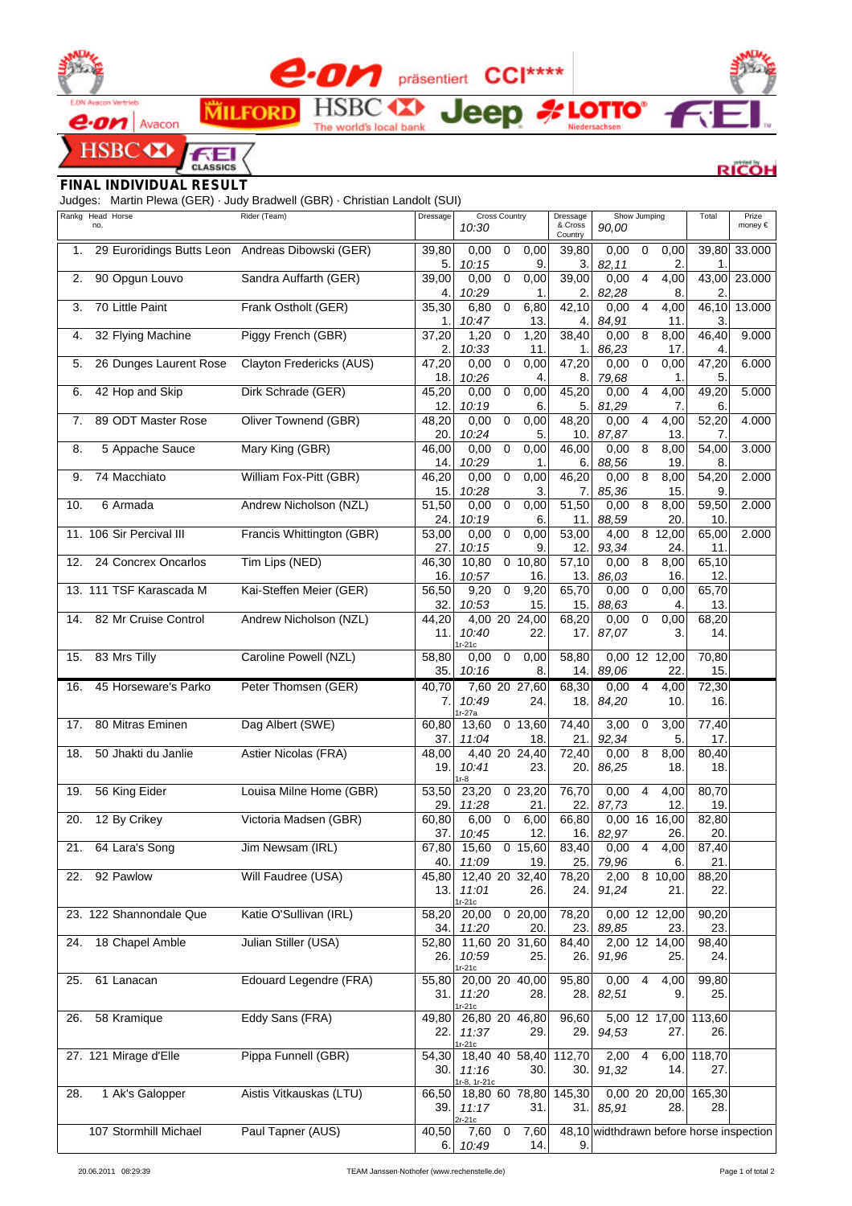



**SBC CO** 

OM präsentiert CCI\*\*\*\* **HSB** œ een

The world's local bank

**RICOH** 

**ELOTTO**<sup>®</sup>

## *FINAL INDIVIDUAL RESULT*

Judges: Martin Plewa (GER) · Judy Bradwell (GBR) · Christian Landolt (SUI)

**MILFORD** 

CLASSICS

⊆

|     | Rankg Head Horse                                 | Rider (Team)              | Dressage           | <b>Cross Country</b><br>Dressage       |                    | Show Jumping                             | Total        | Prize        |
|-----|--------------------------------------------------|---------------------------|--------------------|----------------------------------------|--------------------|------------------------------------------|--------------|--------------|
|     | no.                                              |                           |                    | 10:30                                  | & Cross<br>Country | 90,00                                    |              | money €      |
| 1.  | 29 Euroridings Butts Leon Andreas Dibowski (GER) |                           | 39,80              | $\overline{0}$<br>0,00<br>0,00         | 39,80              | $\overline{0}$<br>0,00<br>0,00           | 39,80        | 33.000       |
|     |                                                  |                           | 5.                 | 10:15<br>9                             | 3.                 | 82,11<br>2.                              | $\mathbf{1}$ |              |
| 2.  | 90 Opgun Louvo                                   | Sandra Auffarth (GER)     | 39,00              | 0,00<br>$\mathbf 0$<br>0,00            | 39,00              | 0,00<br>$\overline{4}$<br>4,00           |              | 43,00 23.000 |
|     |                                                  |                           | 4.                 | 10:29<br>1.                            | 2.                 | 82,28<br>8.                              | 2            |              |
| 3.  | 70 Little Paint                                  | Frank Ostholt (GER)       | 35,30              | $\mathbf 0$<br>6,80<br>6,80            | 42,10              | 0,00<br>4<br>4,00                        | 46,10        | 13.000       |
|     |                                                  |                           | 1.                 | 10:47<br>13                            | 4.                 | 84,91<br>11.                             | 3            |              |
| 4.  | 32 Flying Machine                                | Piggy French (GBR)        | 37,20              | 1,20<br>1,20<br>$\mathbf 0$            | 38,40              | 8<br>0,00<br>8,00                        | 46,40        | 9.000        |
|     |                                                  |                           | 2.                 | 10:33<br>11.                           | 1.                 | 86,23<br>17.                             | 4            |              |
| 5.  | 26 Dunges Laurent Rose                           | Clayton Fredericks (AUS)  | 47,20<br>18.       | 0,00<br>0,00<br>$\mathbf 0$<br>10:26   | 47,20<br>8.        | 0,00<br>0<br>0,00                        | 47,20<br>5.  | 6.000        |
| 6.  | 42 Hop and Skip                                  | Dirk Schrade (GER)        | 45,20              | 4.<br>$\overline{0}$<br>0,00<br>0,00   | 45,20              | 79,68<br>1.<br>0,00<br>4<br>4,00         | 49,20        | 5.000        |
|     |                                                  |                           | 12.                | 10:19<br>6                             | 5.                 | 81,29<br>7.                              | 6.           |              |
| 7.  | 89 ODT Master Rose                               | Oliver Townend (GBR)      | 48,20              | 0,00<br>0,00<br>0                      | 48,20              | 0,00<br>4<br>4,00                        | 52,20        | 4.000        |
|     |                                                  |                           | 20.                | 10:24<br>5.                            | 10.                | 87,87<br>13.                             | 7.           |              |
| 8.  | 5 Appache Sauce                                  | Mary King (GBR)           | 46,00              | 0,00<br>$\pmb{0}$<br>0,00              | 46,00              | 8<br>0,00<br>8,00                        | 54,00        | 3.000        |
|     |                                                  |                           | 14.                | 10:29<br>1.                            | 6.                 | 88,56<br>19.                             | 8.           |              |
| 9.  | 74 Macchiato                                     | William Fox-Pitt (GBR)    | 46,20              | 0,00<br>$\mathbf 0$<br>0,00            | 46,20              | 8<br>0,00<br>8,00                        | 54,20        | 2.000        |
|     |                                                  |                           | 15.                | 10:28<br>З.                            | 7.                 | 85,36<br>15.                             | 9.           |              |
| 10. | 6 Armada                                         | Andrew Nicholson (NZL)    | 51,50              | 0<br>0,00<br>0,00                      | 51,50              | 8<br>8,00<br>0,00                        | 59,50        | 2.000        |
|     |                                                  |                           | 24.                | 10:19<br>6.                            | 11.                | 20.<br>88,59                             | 10.          |              |
|     | 11. 106 Sir Percival III                         | Francis Whittington (GBR) | 53,00              | $\mathbf 0$<br>0,00<br>0,00            | 53,00              | $8\;12,00$<br>4,00                       | 65,00        | 2.000        |
|     |                                                  |                           | 27.                | 10:15<br>9                             | 12.                | 93,34<br>24.                             | 11.          |              |
| 12. | 24 Concrex Oncarlos                              | Tim Lips (NED)            | 46,30<br>16.       | 10,80<br>$0$ 10,80<br>10:57            | 57,10              | 8<br>0,00<br>8,00<br>16.                 | 65,10<br>12. |              |
|     | 13. 111 TSF Karascada M                          | Kai-Steffen Meier (GER)   | 56,50              | 16.<br>$\pmb{0}$<br>9,20<br>9,20       | 13.<br>65,70       | 86,03<br>0,00<br>0<br>0,00               | 65,70        |              |
|     |                                                  |                           | 32.                | 10:53<br>15.                           | 15.                | 88,63<br>4.                              | 13.          |              |
| 14. | 82 Mr Cruise Control                             | Andrew Nicholson (NZL)    | 44,20              | 4,00 20 24,00                          | 68,20              | 0,00<br>$\pmb{0}$<br>0,00                | 68,20        |              |
|     |                                                  |                           | 11.                | 10:40<br>22.                           | 17.                | 87,07<br>3.                              | 14.          |              |
|     |                                                  |                           |                    | $r-21c$                                |                    |                                          |              |              |
| 15. | 83 Mrs Tilly                                     | Caroline Powell (NZL)     | 58,80              | 0,00<br>0<br>0,00                      | 58,80              | 0,00 12 12,00                            | 70,80        |              |
|     |                                                  |                           | 35.                | 10:16<br>8.                            | 14.                | 89,06<br>22.                             | 15.          |              |
| 16. | 45 Horseware's Parko                             | Peter Thomsen (GER)       | $\overline{40,70}$ | 7,60 20 27,60                          | 68,30              | $\overline{4}$<br>0,00<br>4,00           | 72,30        |              |
|     |                                                  |                           | 7.                 | 10:49<br>24.<br>$r-27a$                | 18.                | 84,20<br>10.                             | 16.          |              |
| 17. | 80 Mitras Eminen                                 | Dag Albert (SWE)          | 60,80              | $0$ 13,60<br>13,60                     | 74,40              | 3,00<br>3,00<br>0                        | 77,40        |              |
|     |                                                  |                           | 37.                | 11:04<br>18.                           | 21.                | 92,34<br>5.                              | 17.          |              |
| 18. | 50 Jhakti du Janlie                              | Astier Nicolas (FRA)      | 48,00              | 4,40 20 24,40                          | 72,40              | 0,00<br>8<br>8,00                        | 80,40        |              |
|     |                                                  |                           | 19.                | 10:41<br>23.                           | 20.                | 86,25<br>18.                             | 18.          |              |
|     | 56 King Eider                                    | Louisa Milne Home (GBR)   | 53,50              | r-8<br>23,20<br>023,20                 | 76,70              | 0,00<br>$\overline{4}$<br>4,00           | 80,70        |              |
| 19. |                                                  |                           | 29.                | 21.<br>11:28                           | 22.                | 87,73<br>12.                             | 19.          |              |
| 20. | 12 By Crikey                                     | Victoria Madsen (GBR)     | 60,80              | $\mathsf 0$<br>6,00<br>6,00            | 66,80              | 0,00 16 16,00                            | 82,80        |              |
|     |                                                  |                           | 37.                | 10:45<br>12.                           | 16.                | 82,97<br>26.                             | 20.          |              |
| 21. | 64 Lara's Song                                   | Jim Newsam (IRL)          |                    | 67,80 15,60<br>$\overline{0}$<br>15,60 | 83,40              | 0,00<br>4<br>4,00                        | 87,40        |              |
|     |                                                  |                           | 40.                | 11:09<br>19                            | 25.                | 79,96<br>6.                              | 21.          |              |
| 22. | 92 Pawlow                                        | Will Faudree (USA)        | 45,80              | 12,40 20 32,40                         | 78,20              | 8 10,00<br>2,00                          | 88,20        |              |
|     |                                                  |                           | 13.                | 11:01<br>26.                           | 24.                | 91,24<br>21.                             | 22.          |              |
|     | 23. 122 Shannondale Que                          | Katie O'Sullivan (IRL)    |                    | $r-21c$<br>020,00<br>20,00             | 78,20              | 0,00 12 12,00                            | 90,20        |              |
|     |                                                  |                           | 58,20<br>34.       | 11:20<br>20.                           | 23.                | 89,85<br>23.                             | 23.          |              |
| 24. | 18 Chapel Amble                                  | Julian Stiller (USA)      | 52,80              | 11,60 20 31,60                         | 84,40              | 2,00 12 14,00                            | 98,40        |              |
|     |                                                  |                           | 26.                | 10:59<br>25.                           | 26.                | 91,96<br>25.                             | 24.          |              |
|     |                                                  |                           |                    | $r-21c$                                |                    |                                          |              |              |
| 25. | 61 Lanacan                                       | Edouard Legendre (FRA)    | 55,80              | 20,00 20 40,00                         | 95,80              | 0,00<br>$\overline{4}$<br>4,00           | 99,80        |              |
|     |                                                  |                           | 31.                | 11:20<br>28.                           | 28.                | 82,51<br>9.                              | 25.          |              |
| 26. | 58 Kramique                                      | Eddy Sans (FRA)           | 49,80              | $r-21c$<br>26,80 20 46,80              | 96,60              | $5,00$ 12 17,00                          | 113,60       |              |
|     |                                                  |                           | 22.                | 11:37<br>29.                           | 29.                | 94,53<br>27.                             | 26.          |              |
|     |                                                  |                           |                    | $Ir-21c$                               |                    |                                          |              |              |
|     | 27. 121 Mirage d'Elle                            | Pippa Funnell (GBR)       | 54,30              | 18,40 40 58,40                         | 112,70             | 2,00<br>$\overline{4}$<br>6,00           | 118,70       |              |
|     |                                                  |                           | 30.                | 11:16<br>30.<br>r-8, 1r-21c            | 30.1               | 91,32<br>14.                             | 27.          |              |
| 28. | 1 Ak's Galopper                                  | Aistis Vitkauskas (LTU)   | 66,50              | 18,80 60 78,80                         | 145,30             | 0,00 20 20,00 165,30                     |              |              |
|     |                                                  |                           | 39.                | 11:17<br>31.                           |                    | 31. 85,91<br>28.                         | 28.          |              |
|     |                                                  |                           |                    | 2r-21c                                 |                    |                                          |              |              |
|     | 107 Stormhill Michael                            | Paul Tapner (AUS)         | 40,50              | $\mathbf 0$<br>7,60<br>7,60            |                    | 48,10 widthdrawn before horse inspection |              |              |
|     |                                                  |                           | 6.                 | 10:49<br>14.                           | 9.                 |                                          |              |              |